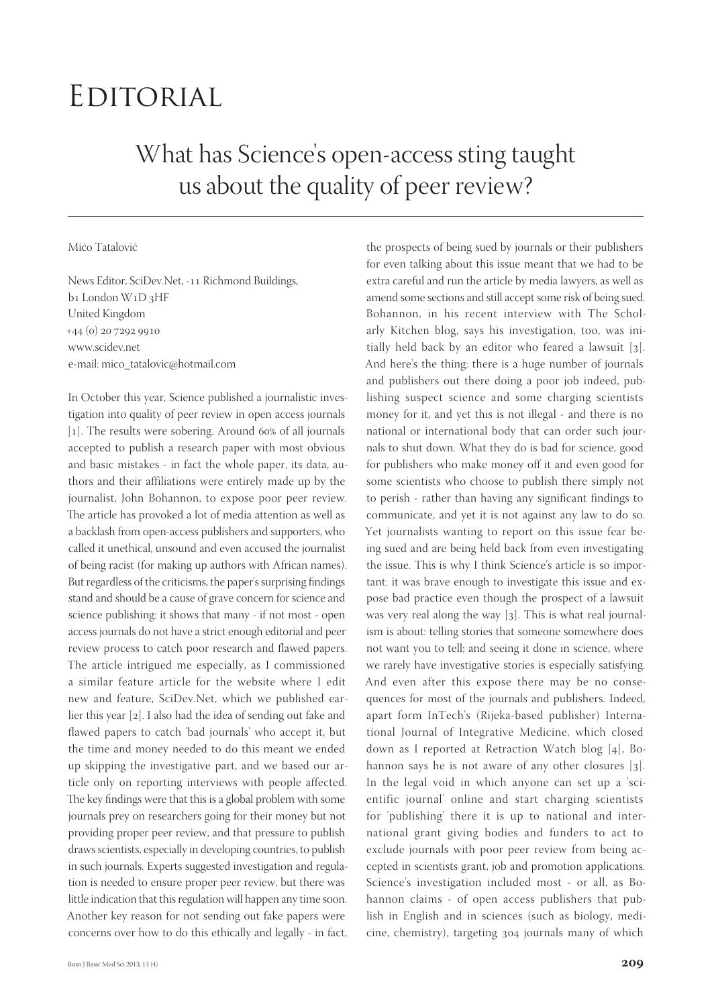## Editorial

## What has Science's open-access sting taught us about the quality of peer review?

## Mićo Tatalović

News Editor, SciDev.Net, -11 Richmond Buildings, b<sub>1</sub> London W<sub>1</sub>D<sub>3</sub>HF United Kingdom  $+44$  (0) 20 7292 9910 www.scidev.net e-mail: mico\_tatalovic@hotmail.com

In October this year, Science published a journalistic investigation into quality of peer review in open access journals [1]. The results were sobering. Around 60% of all journals accepted to publish a research paper with most obvious and basic mistakes - in fact the whole paper, its data, authors and their affiliations were entirely made up by the journalist, John Bohannon, to expose poor peer review. The article has provoked a lot of media attention as well as a backlash from open-access publishers and supporters, who called it unethical, unsound and even accused the journalist of being racist (for making up authors with African names). But regardless of the criticisms, the paper's surprising findings stand and should be a cause of grave concern for science and science publishing: it shows that many - if not most - open access journals do not have a strict enough editorial and peer review process to catch poor research and flawed papers. The article intrigued me especially, as I commissioned a similar feature article for the website where I edit new and feature, SciDev.Net, which we published earlier this year  $[2]$ . I also had the idea of sending out fake and flawed papers to catch 'bad journals' who accept it, but the time and money needed to do this meant we ended up skipping the investigative part, and we based our article only on reporting interviews with people affected. The key findings were that this is a global problem with some journals prey on researchers going for their money but not providing proper peer review, and that pressure to publish draws scientists, especially in developing countries, to publish in such journals. Experts suggested investigation and regulation is needed to ensure proper peer review, but there was little indication that this regulation will happen any time soon. Another key reason for not sending out fake papers were concerns over how to do this ethically and legally - in fact,

Bohannon, in his recent interview with The Scholarly Kitchen blog, says his investigation, too, was initially held back by an editor who feared a lawsuit  $[3]$ . And here's the thing: there is a huge number of journals and publishers out there doing a poor job indeed, publishing suspect science and some charging scientists money for it, and yet this is not illegal - and there is no national or international body that can order such journals to shut down. What they do is bad for science, good for publishers who make money off it and even good for some scientists who choose to publish there simply not to perish - rather than having any significant findings to communicate, and yet it is not against any law to do so. Yet journalists wanting to report on this issue fear being sued and are being held back from even investigating the issue. This is why I think Science's article is so important: it was brave enough to investigate this issue and expose bad practice even though the prospect of a lawsuit was very real along the way  $\lceil 3 \rceil$ . This is what real journalism is about: telling stories that someone somewhere does not want you to tell; and seeing it done in science, where we rarely have investigative stories is especially satisfying. And even after this expose there may be no consequences for most of the journals and publishers. Indeed, apart form InTech's (Rijeka-based publisher) International Journal of Integrative Medicine, which closed down as I reported at Retraction Watch blog  $[4]$ , Bohannon says he is not aware of any other closures  $[3]$ . In the legal void in which anyone can set up a 'scientific journal' online and start charging scientists for 'publishing' there it is up to national and international grant giving bodies and funders to act to exclude journals with poor peer review from being accepted in scientists grant, job and promotion applications. Science's investigation included most - or all, as Bohannon claims - of open access publishers that publish in English and in sciences (such as biology, medicine, chemistry), targeting 304 journals many of which

the prospects of being sued by journals or their publishers for even talking about this issue meant that we had to be extra careful and run the article by media lawyers, as well as amend some sections and still accept some risk of being sued.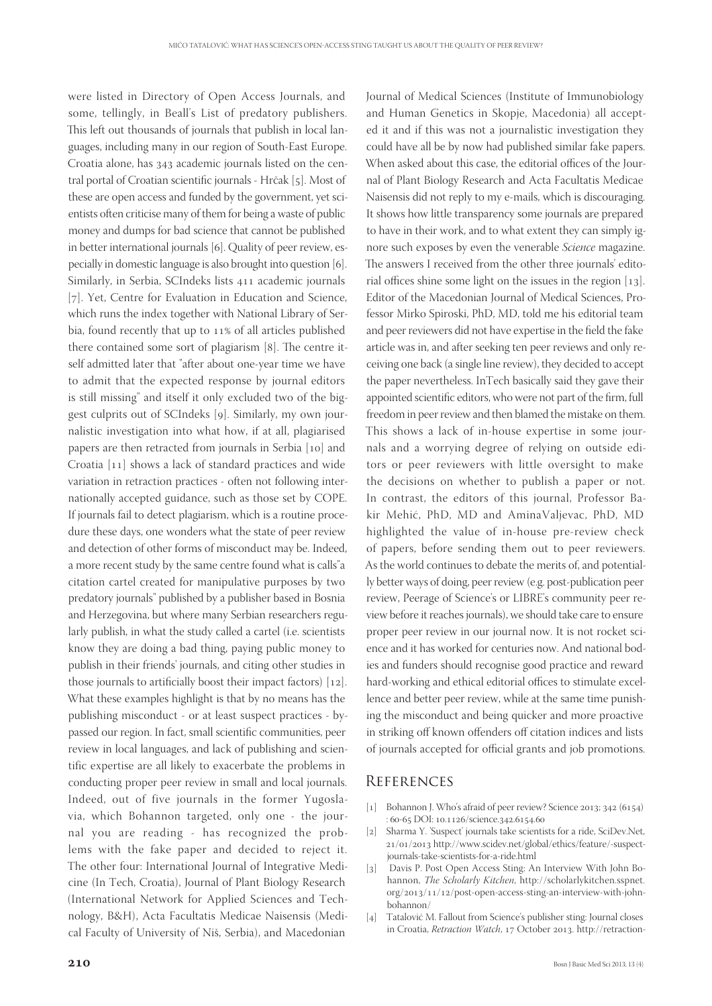were listed in Directory of Open Access Journals, and some, tellingly, in Beall's List of predatory publishers. This left out thousands of journals that publish in local languages, including many in our region of South-East Europe. Croatia alone, has 343 academic journals listed on the central portal of Croatian scientific journals - Hrčak [5]. Most of these are open access and funded by the government, yet scientists often criticise many of them for being a waste of public money and dumps for bad science that cannot be published in better international journals [6]. Quality of peer review, especially in domestic language is also brought into question  $[6]$ . Similarly, in Serbia, SCIndeks lists 411 academic journals [7]. Yet, Centre for Evaluation in Education and Science, which runs the index together with National Library of Serbia, found recently that up to  $11\%$  of all articles published there contained some sort of plagiarism  $[8]$ . The centre itself admitted later that "after about one-year time we have to admit that the expected response by journal editors is still missing" and itself it only excluded two of the biggest culprits out of SCIndeks [9]. Similarly, my own journalistic investigation into what how, if at all, plagiarised papers are then retracted from journals in Serbia [10] and Croatia  $[11]$  shows a lack of standard practices and wide variation in retraction practices - often not following internationally accepted guidance, such as those set by COPE. If journals fail to detect plagiarism, which is a routine procedure these days, one wonders what the state of peer review and detection of other forms of misconduct may be. Indeed, a more recent study by the same centre found what is calls"a citation cartel created for manipulative purposes by two predatory journals" published by a publisher based in Bosnia and Herzegovina, but where many Serbian researchers regularly publish, in what the study called a cartel (i.e. scientists know they are doing a bad thing, paying public money to publish in their friends' journals, and citing other studies in those journals to artificially boost their impact factors)  $[12]$ . What these examples highlight is that by no means has the publishing misconduct - or at least suspect practices - bypassed our region. In fact, small scientific communities, peer review in local languages, and lack of publishing and scientific expertise are all likely to exacerbate the problems in conducting proper peer review in small and local journals. Indeed, out of five journals in the former Yugoslavia, which Bohannon targeted, only one - the journal you are reading - has recognized the problems with the fake paper and decided to reject it. The other four: International Journal of Integrative Medicine (In Tech, Croatia), Journal of Plant Biology Research (International Network for Applied Sciences and Technology, B&H), Acta Facultatis Medicae Naisensis (Medical Faculty of University of Niš, Serbia), and Macedonian

Journal of Medical Sciences (Institute of Immunobiology and Human Genetics in Skopje, Macedonia) all accepted it and if this was not a journalistic investigation they could have all be by now had published similar fake papers. When asked about this case, the editorial offices of the Journal of Plant Biology Research and Acta Facultatis Medicae Naisensis did not reply to my e-mails, which is discouraging. It shows how little transparency some journals are prepared to have in their work, and to what extent they can simply ignore such exposes by even the venerable *Science* magazine. The answers I received from the other three journals' editorial offices shine some light on the issues in the region  $[13]$ . Editor of the Macedonian Journal of Medical Sciences, Professor Mirko Spiroski, PhD, MD, told me his editorial team and peer reviewers did not have expertise in the field the fake article was in, and after seeking ten peer reviews and only receiving one back (a single line review), they decided to accept the paper nevertheless. InTech basically said they gave their appointed scientific editors, who were not part of the firm, full freedom in peer review and then blamed the mistake on them. This shows a lack of in-house expertise in some journals and a worrying degree of relying on outside editors or peer reviewers with little oversight to make the decisions on whether to publish a paper or not. In contrast, the editors of this journal, Professor Bakir Mehić, PhD, MD and AminaValjevac, PhD, MD highlighted the value of in-house pre-review check of papers, before sending them out to peer reviewers. As the world continues to debate the merits of, and potentially better ways of doing, peer review (e.g. post-publication peer review, Peerage of Science's or LIBRE's community peer review before it reaches journals), we should take care to ensure proper peer review in our journal now. It is not rocket science and it has worked for centuries now. And national bodies and funders should recognise good practice and reward hard-working and ethical editorial offices to stimulate excellence and better peer review, while at the same time punishing the misconduct and being quicker and more proactive in striking off known offenders off citation indices and lists of journals accepted for official grants and job promotions.

## **REFERENCES**

- [1] Bohannon J. Who's afraid of peer review? Science 2013; 342  $(6154)$ : 60-65 DOI: 10.1126/science.342.6154.60
- [2] Sharma Y. 'Suspect' journals take scientists for a ride, SciDev.Net, 21/01/2013 http://www.scidev.net/global/ethics/feature/-suspectjournals-take-scientists-for-a-ride.html
- [3] Davis P. Post Open Access Sting: An Interview With John Bohannon, *The Scholarly Kitchen*, http://scholarlykitchen.sspnet. org/2013/11/12/post-open-access-sting-an-interview-with-johnbohannon/
- [4] Tatalović M. Fallout from Science's publisher sting: Journal closes in Croatia, *Retraction Watch*, 17 October 2013. http://retraction-